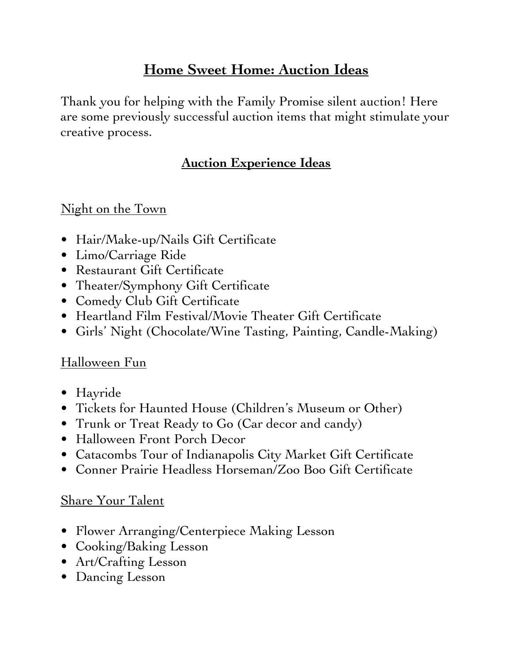# **Home Sweet Home: Auction Ideas**

Thank you for helping with the Family Promise silent auction! Here are some previously successful auction items that might stimulate your creative process.

### **Auction Experience Ideas**

#### Night on the Town

- Hair/Make-up/Nails Gift Certificate
- Limo/Carriage Ride
- Restaurant Gift Certificate
- Theater/Symphony Gift Certificate
- Comedy Club Gift Certificate
- Heartland Film Festival/Movie Theater Gift Certificate
- Girls' Night (Chocolate/Wine Tasting, Painting, Candle-Making)

#### Halloween Fun

- Hayride
- Tickets for Haunted House (Children's Museum or Other)
- Trunk or Treat Ready to Go (Car decor and candy)
- Halloween Front Porch Decor
- Catacombs Tour of Indianapolis City Market Gift Certificate
- Conner Prairie Headless Horseman/Zoo Boo Gift Certificate

#### Share Your Talent

- Flower Arranging/Centerpiece Making Lesson
- Cooking/Baking Lesson
- Art/Crafting Lesson
- Dancing Lesson